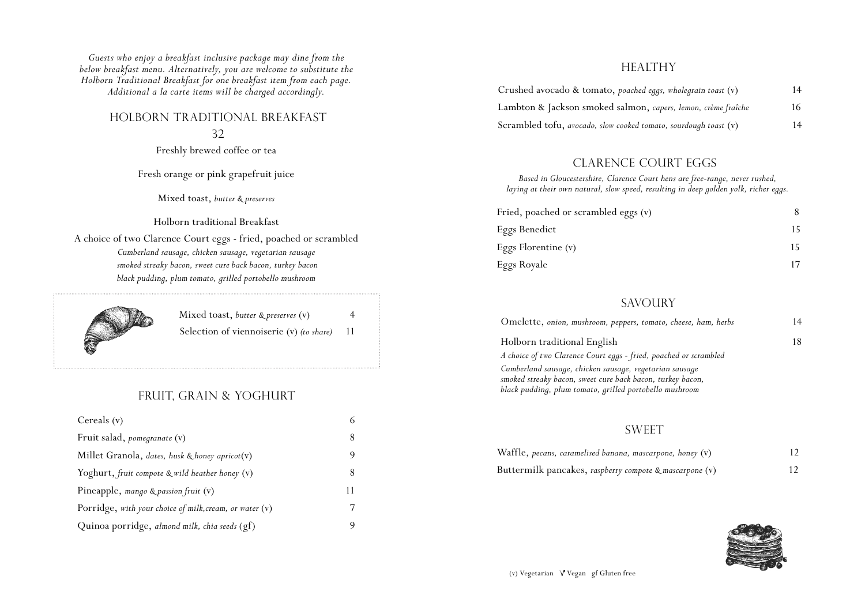*Guests who enjoy a breakfast inclusive package may dine from the below breakfast menu. Alternatively, you are welcome to substitute the Holborn Traditional Breakfast for one breakfast item from each page. Additional a la carte items will be charged accordingly.*

### holborn traditional breakfast

#### 32

Freshly brewed coffee or tea

Fresh orange or pink grapefruit juice

Mixed toast, *butter & preserves*

Holborn traditional Breakfast

A choice of two Clarence Court eggs - fried, poached or scrambled *Cumberland sausage, chicken sausage, vegetarian sausage smoked streaky bacon, sweet cure back bacon, turkey bacon black pudding, plum tomato, grilled portobello mushroom*



Mixed toast, *butter & preserves* (v) 4 Selection of viennoiserie (v) *(to share)* 11

# FRUIT, GRAIN & yoghurt

| Cereals $(v)$                                           |    |
|---------------------------------------------------------|----|
| Fruit salad, pomegranate (v)                            |    |
| Millet Granola, dates, husk & honey apricot(v)          | 9  |
| Yoghurt, fruit compote $\&$ wild heather honey $(v)$    |    |
| Pineapple, mango & passion fruit $(v)$                  | 11 |
| Porridge, with your choice of milk, cream, or water (v) |    |
| Quinoa porridge, almond milk, chia seeds (gf)           |    |

### **HEALTHY**

| Crushed avocado & tomato, poached eggs, wholegrain toast (v)     | 14 |
|------------------------------------------------------------------|----|
| Lambton & Jackson smoked salmon, capers, lemon, crème fraîche    | 16 |
| Scrambled tofu, avocado, slow cooked tomato, sourdough toast (v) | 14 |

### CLARENCE COURT EGGS

*Based in Gloucestershire, Clarence Court hens are free-range, never rushed, laying at their own natural, slow speed, resulting in deep golden yolk, richer eggs.*

| Fried, poached or scrambled eggs (v) |    |  |
|--------------------------------------|----|--|
| Eggs Benedict                        | 15 |  |
| Eggs Florentine (v)                  |    |  |
| Eggs Royale                          |    |  |

### **SAVOURY**

| Omelette, onion, mushroom, peppers, tomato, cheese, ham, herbs | 14 |
|----------------------------------------------------------------|----|
| Holborn traditional English                                    |    |

*A choice of two Clarence Court eggs - fried, poached or scrambled Cumberland sausage, chicken sausage, vegetarian sausage smoked streaky bacon, sweet cure back bacon, turkey bacon, black pudding, plum tomato, grilled portobello mushroom* 

# **SWEET**

| Waffle, pecans, caramelised banana, mascarpone, honey (v) | 12 |
|-----------------------------------------------------------|----|
| Buttermilk pancakes, raspberry compote & mascarpone (v)   | 12 |